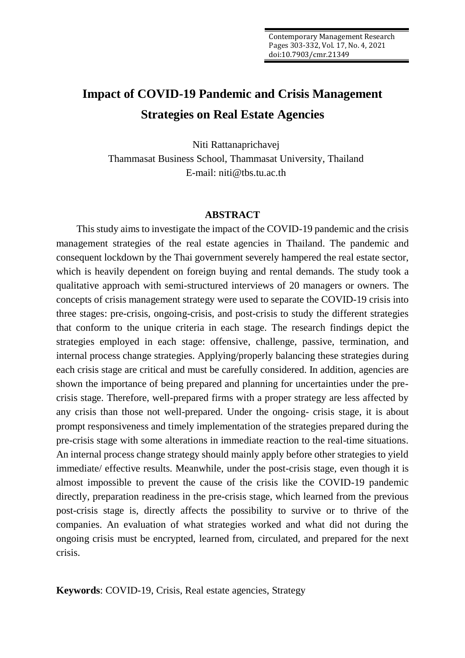# **Impact of COVID-19 Pandemic and Crisis Management Strategies on Real Estate Agencies**

Niti Rattanaprichavej Thammasat Business School, Thammasat University, Thailand E-mail: niti@tbs.tu.ac.th

#### **ABSTRACT**

This study aims to investigate the impact of the COVID-19 pandemic and the crisis management strategies of the real estate agencies in Thailand. The pandemic and consequent lockdown by the Thai government severely hampered the real estate sector, which is heavily dependent on foreign buying and rental demands. The study took a qualitative approach with semi-structured interviews of 20 managers or owners. The concepts of crisis management strategy were used to separate the COVID-19 crisis into three stages: pre-crisis, ongoing-crisis, and post-crisis to study the different strategies that conform to the unique criteria in each stage. The research findings depict the strategies employed in each stage: offensive, challenge, passive, termination, and internal process change strategies. Applying/properly balancing these strategies during each crisis stage are critical and must be carefully considered. In addition, agencies are shown the importance of being prepared and planning for uncertainties under the precrisis stage. Therefore, well-prepared firms with a proper strategy are less affected by any crisis than those not well-prepared. Under the ongoing- crisis stage, it is about prompt responsiveness and timely implementation of the strategies prepared during the pre-crisis stage with some alterations in immediate reaction to the real-time situations. An internal process change strategy should mainly apply before other strategies to yield immediate/ effective results. Meanwhile, under the post-crisis stage, even though it is almost impossible to prevent the cause of the crisis like the COVID-19 pandemic directly, preparation readiness in the pre-crisis stage, which learned from the previous post-crisis stage is, directly affects the possibility to survive or to thrive of the companies. An evaluation of what strategies worked and what did not during the ongoing crisis must be encrypted, learned from, circulated, and prepared for the next crisis.

**Keywords**: COVID-19, Crisis, Real estate agencies, Strategy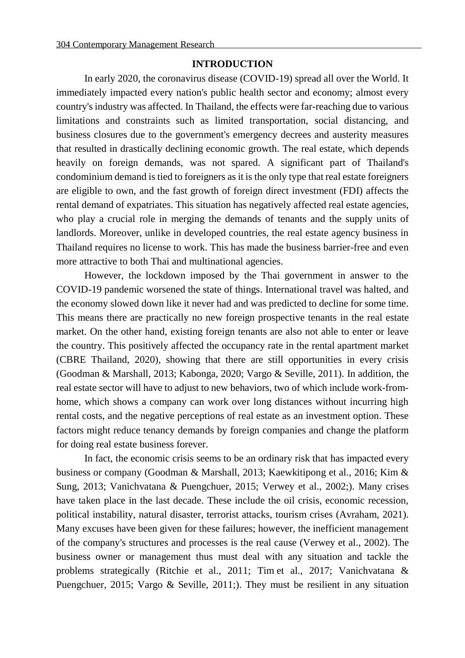#### **INTRODUCTION**

In early 2020, the coronavirus disease (COVID-19) spread all over the World. It immediately impacted every nation's public health sector and economy; almost every country's industry was affected. In Thailand, the effects were far-reaching due to various limitations and constraints such as limited transportation, social distancing, and business closures due to the government's emergency decrees and austerity measures that resulted in drastically declining economic growth. The real estate, which depends heavily on foreign demands, was not spared. A significant part of Thailand's condominium demand is tied to foreigners as it is the only type that real estate foreigners are eligible to own, and the fast growth of foreign direct investment (FDI) affects the rental demand of expatriates. This situation has negatively affected real estate agencies, who play a crucial role in merging the demands of tenants and the supply units of landlords. Moreover, unlike in developed countries, the real estate agency business in Thailand requires no license to work. This has made the business barrier-free and even more attractive to both Thai and multinational agencies.

However, the lockdown imposed by the Thai government in answer to the COVID-19 pandemic worsened the state of things. International travel was halted, and the economy slowed down like it never had and was predicted to decline for some time. This means there are practically no new foreign prospective tenants in the real estate market. On the other hand, existing foreign tenants are also not able to enter or leave the country. This positively affected the occupancy rate in the rental apartment market (CBRE Thailand, 2020), showing that there are still opportunities in every crisis (Goodman & Marshall, 2013; Kabonga, 2020; Vargo & Seville, 2011). In addition, the real estate sector will have to adjust to new behaviors, two of which include work-fromhome, which shows a company can work over long distances without incurring high rental costs, and the negative perceptions of real estate as an investment option. These factors might reduce tenancy demands by foreign companies and change the platform for doing real estate business forever.

In fact, the economic crisis seems to be an ordinary risk that has impacted every business or company (Goodman & Marshall, 2013; Kaewkitipong et al., 2016; Kim & Sung, 2013; Vanichvatana & Puengchuer, 2015; Verwey et al., 2002;). Many crises have taken place in the last decade. These include the oil crisis, economic recession, political instability, natural disaster, terrorist attacks, tourism crises (Avraham, 2021). Many excuses have been given for these failures; however, the inefficient management of the company's structures and processes is the real cause (Verwey et al., 2002). The business owner or management thus must deal with any situation and tackle the problems strategically (Ritchie et al., 2011; Tim et al., 2017; Vanichvatana & Puengchuer, 2015; Vargo & Seville, 2011;). They must be resilient in any situation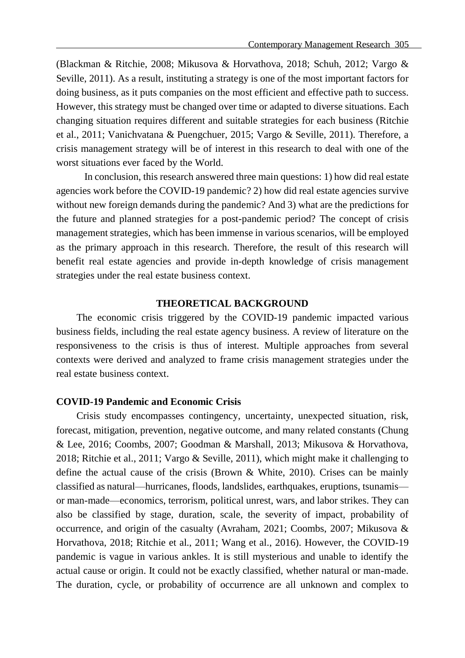(Blackman & Ritchie, 2008; Mikusova & Horvathova, 2018; Schuh, 2012; Vargo & Seville, 2011). As a result, instituting a strategy is one of the most important factors for doing business, as it puts companies on the most efficient and effective path to success. However, this strategy must be changed over time or adapted to diverse situations. Each changing situation requires different and suitable strategies for each business (Ritchie et al., 2011; Vanichvatana & Puengchuer, 2015; Vargo & Seville, 2011). Therefore, a crisis management strategy will be of interest in this research to deal with one of the worst situations ever faced by the World.

In conclusion, this research answered three main questions: 1) how did real estate agencies work before the COVID-19 pandemic? 2) how did real estate agencies survive without new foreign demands during the pandemic? And 3) what are the predictions for the future and planned strategies for a post-pandemic period? The concept of crisis management strategies, which has been immense in various scenarios, will be employed as the primary approach in this research. Therefore, the result of this research will benefit real estate agencies and provide in-depth knowledge of crisis management strategies under the real estate business context.

#### **THEORETICAL BACKGROUND**

The economic crisis triggered by the COVID-19 pandemic impacted various business fields, including the real estate agency business. A review of literature on the responsiveness to the crisis is thus of interest. Multiple approaches from several contexts were derived and analyzed to frame crisis management strategies under the real estate business context.

#### **COVID-19 Pandemic and Economic Crisis**

Crisis study encompasses contingency, uncertainty, unexpected situation, risk, forecast, mitigation, prevention, negative outcome, and many related constants (Chung & Lee, 2016; Coombs, 2007; Goodman & Marshall, 2013; Mikusova & Horvathova, 2018; Ritchie et al., 2011; Vargo & Seville, 2011), which might make it challenging to define the actual cause of the crisis (Brown & White, 2010). Crises can be mainly classified as natural—hurricanes, floods, landslides, earthquakes, eruptions, tsunamis or man-made—economics, terrorism, political unrest, wars, and labor strikes. They can also be classified by stage, duration, scale, the severity of impact, probability of occurrence, and origin of the casualty (Avraham, 2021; Coombs, 2007; Mikusova & Horvathova, 2018; Ritchie et al., 2011; Wang et al., 2016). However, the COVID-19 pandemic is vague in various ankles. It is still mysterious and unable to identify the actual cause or origin. It could not be exactly classified, whether natural or man-made. The duration, cycle, or probability of occurrence are all unknown and complex to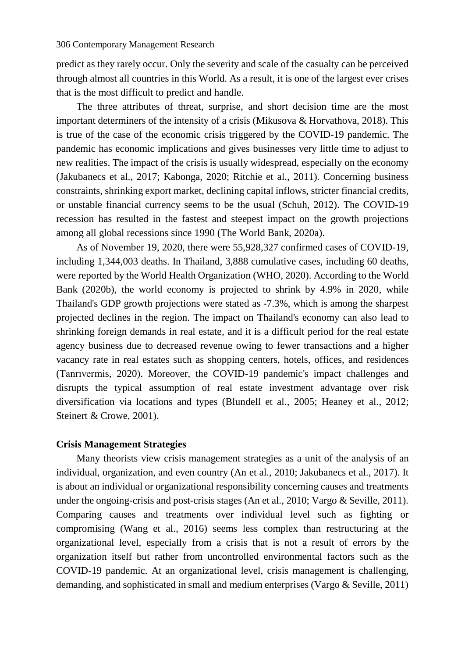predict as they rarely occur. Only the severity and scale of the casualty can be perceived through almost all countries in this World. As a result, it is one of the largest ever crises that is the most difficult to predict and handle.

The three attributes of threat, surprise, and short decision time are the most important determiners of the intensity of a crisis (Mikusova & Horvathova, 2018). This is true of the case of the economic crisis triggered by the COVID-19 pandemic. The pandemic has economic implications and gives businesses very little time to adjust to new realities. The impact of the crisis is usually widespread, especially on the economy (Jakubanecs et al., 2017; Kabonga, 2020; Ritchie et al., 2011). Concerning business constraints, shrinking export market, declining capital inflows, stricter financial credits, or unstable financial currency seems to be the usual (Schuh, 2012). The COVID-19 recession has resulted in the fastest and steepest impact on the growth projections among all global recessions since 1990 (The World Bank, 2020a).

As of November 19, 2020, there were 55,928,327 confirmed cases of COVID-19, including 1,344,003 deaths. In Thailand, 3,888 cumulative cases, including 60 deaths, were reported by the World Health Organization (WHO, 2020). According to the World Bank (2020b), the world economy is projected to shrink by 4.9% in 2020, while Thailand's GDP growth projections were stated as -7.3%, which is among the sharpest projected declines in the region. The impact on Thailand's economy can also lead to shrinking foreign demands in real estate, and it is a difficult period for the real estate agency business due to decreased revenue owing to fewer transactions and a higher vacancy rate in real estates such as shopping centers, hotels, offices, and residences [\(Tanrıvermis,](https://www.sciencedirect.com/science/article/pii/S2226585620302168#!) 2020). Moreover, the COVID-19 pandemic's impact challenges and disrupts the typical assumption of real estate investment advantage over risk diversification via locations and types (Blundell et al., 2005; Heaney et al., 2012; Steinert & Crowe, 2001).

### **Crisis Management Strategies**

Many theorists view crisis management strategies as a unit of the analysis of an individual, organization, and even country (An et al., 2010; Jakubanecs et al., 2017). It is about an individual or organizational responsibility concerning causes and treatments under the ongoing-crisis and post-crisis stages (An et al., 2010; Vargo & Seville, 2011). Comparing causes and treatments over individual level such as fighting or compromising (Wang et al., 2016) seems less complex than restructuring at the organizational level, especially from a crisis that is not a result of errors by the organization itself but rather from uncontrolled environmental factors such as the COVID-19 pandemic. At an organizational level, crisis management is challenging, demanding, and sophisticated in small and medium enterprises (Vargo & Seville, 2011)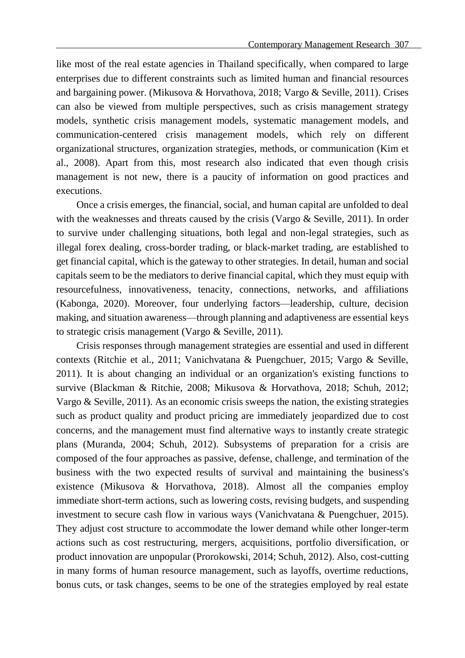like most of the real estate agencies in Thailand specifically, when compared to large enterprises due to different constraints such as limited human and financial resources and bargaining power. (Mikusova & Horvathova, 2018; Vargo & Seville, 2011). Crises can also be viewed from multiple perspectives, such as crisis management strategy models, synthetic crisis management models, systematic management models, and communication-centered crisis management models, which rely on different organizational structures, organization strategies, methods, or communication (Kim et al., 2008). Apart from this, most research also indicated that even though crisis management is not new, there is a paucity of information on good practices and executions.

Once a crisis emerges, the financial, social, and human capital are unfolded to deal with the weaknesses and threats caused by the crisis (Vargo & Seville, 2011). In order to survive under challenging situations, both legal and non-legal strategies, such as illegal forex dealing, cross-border trading, or black-market trading, are established to get financial capital, which is the gateway to other strategies. In detail, human and social capitals seem to be the mediators to derive financial capital, which they must equip with resourcefulness, innovativeness, tenacity, connections, networks, and affiliations (Kabonga, 2020). Moreover, four underlying factors—leadership, culture, decision making, and situation awareness—through planning and adaptiveness are essential keys to strategic crisis management (Vargo & Seville, 2011).

Crisis responses through management strategies are essential and used in different contexts (Ritchie et al., 2011; Vanichvatana & Puengchuer, 2015; Vargo & Seville, 2011). It is about changing an individual or an organization's existing functions to survive (Blackman & Ritchie, 2008; Mikusova & Horvathova, 2018; Schuh, 2012; Vargo & Seville, 2011). As an economic crisis sweeps the nation, the existing strategies such as product quality and product pricing are immediately jeopardized due to cost concerns, and the management must find alternative ways to instantly create strategic plans (Muranda, 2004; Schuh, 2012). Subsystems of preparation for a crisis are composed of the four approaches as passive, defense, challenge, and termination of the business with the two expected results of survival and maintaining the business's existence (Mikusova & Horvathova, 2018). Almost all the companies employ immediate short-term actions, such as lowering costs, revising budgets, and suspending investment to secure cash flow in various ways (Vanichvatana & Puengchuer, 2015). They adjust cost structure to accommodate the lower demand while other longer-term actions such as cost restructuring, mergers, acquisitions, portfolio diversification, or product innovation are unpopular (Prorokowski, 2014; Schuh, 2012). Also, cost-cutting in many forms of human resource management, such as layoffs, overtime reductions, bonus cuts, or task changes, seems to be one of the strategies employed by real estate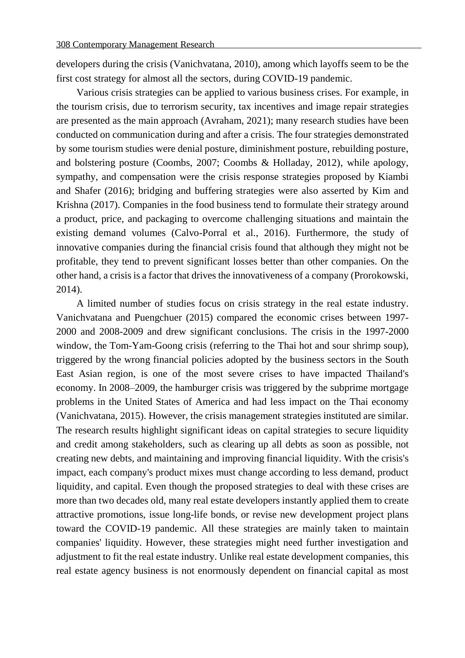developers during the crisis (Vanichvatana, 2010), among which layoffs seem to be the first cost strategy for almost all the sectors, during COVID-19 pandemic.

Various crisis strategies can be applied to various business crises. For example, in the tourism crisis, due to terrorism security, tax incentives and image repair strategies are presented as the main approach (Avraham, 2021); many research studies have been conducted on communication during and after a crisis. The four strategies demonstrated by some tourism studies were denial posture, diminishment posture, rebuilding posture, and bolstering posture (Coombs, 2007; Coombs & Holladay, 2012), while apology, sympathy, and compensation were the crisis response strategies proposed by Kiambi and Shafer (2016); bridging and buffering strategies were also asserted by Kim and Krishna (2017). Companies in the food business tend to formulate their strategy around a product, price, and packaging to overcome challenging situations and maintain the existing demand volumes (Calvo-Porral et al., 2016). Furthermore, the study of innovative companies during the financial crisis found that although they might not be profitable, they tend to prevent significant losses better than other companies. On the other hand, a crisis is a factor that drives the innovativeness of a company (Prorokowski, 2014).

A limited number of studies focus on crisis strategy in the real estate industry. Vanichvatana and Puengchuer (2015) compared the economic crises between 1997- 2000 and 2008-2009 and drew significant conclusions. The crisis in the 1997-2000 window, the Tom-Yam-Goong crisis (referring to the Thai hot and sour shrimp soup), triggered by the wrong financial policies adopted by the business sectors in the South East Asian region, is one of the most severe crises to have impacted Thailand's economy. In 2008–2009, the hamburger crisis was triggered by the subprime mortgage problems in the United States of America and had less impact on the Thai economy (Vanichvatana, 2015). However, the crisis management strategies instituted are similar. The research results highlight significant ideas on capital strategies to secure liquidity and credit among stakeholders, such as clearing up all debts as soon as possible, not creating new debts, and maintaining and improving financial liquidity. With the crisis's impact, each company's product mixes must change according to less demand, product liquidity, and capital. Even though the proposed strategies to deal with these crises are more than two decades old, many real estate developers instantly applied them to create attractive promotions, issue long-life bonds, or revise new development project plans toward the COVID-19 pandemic. All these strategies are mainly taken to maintain companies' liquidity. However, these strategies might need further investigation and adjustment to fit the real estate industry. Unlike real estate development companies, this real estate agency business is not enormously dependent on financial capital as most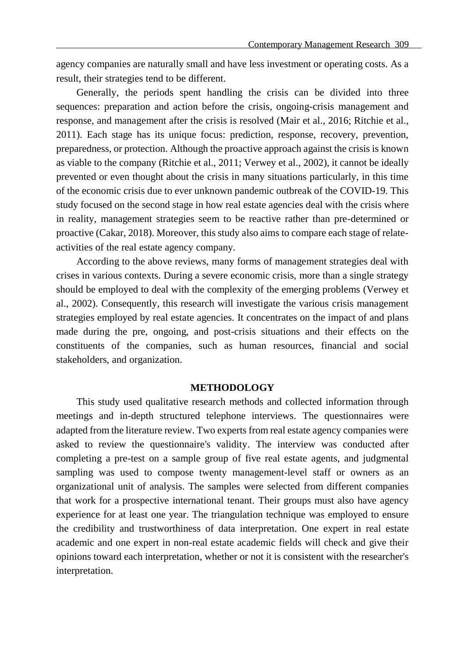agency companies are naturally small and have less investment or operating costs. As a result, their strategies tend to be different.

Generally, the periods spent handling the crisis can be divided into three sequences: preparation and action before the crisis, ongoing-crisis management and response, and management after the crisis is resolved (Mair et al., 2016; Ritchie et al., 2011). Each stage has its unique focus: prediction, response, recovery, prevention, preparedness, or protection. Although the proactive approach against the crisis is known as viable to the company (Ritchie et al., 2011; Verwey et al., 2002), it cannot be ideally prevented or even thought about the crisis in many situations particularly, in this time of the economic crisis due to ever unknown pandemic outbreak of the COVID-19. This study focused on the second stage in how real estate agencies deal with the crisis where in reality, management strategies seem to be reactive rather than pre-determined or proactive (Cakar, 2018). Moreover, this study also aims to compare each stage of relateactivities of the real estate agency company.

According to the above reviews, many forms of management strategies deal with crises in various contexts. During a severe economic crisis, more than a single strategy should be employed to deal with the complexity of the emerging problems (Verwey et al., 2002). Consequently, this research will investigate the various crisis management strategies employed by real estate agencies. It concentrates on the impact of and plans made during the pre, ongoing, and post-crisis situations and their effects on the constituents of the companies, such as human resources, financial and social stakeholders, and organization.

#### **METHODOLOGY**

This study used qualitative research methods and collected information through meetings and in-depth structured telephone interviews. The questionnaires were adapted from the literature review. Two experts from real estate agency companies were asked to review the questionnaire's validity. The interview was conducted after completing a pre-test on a sample group of five real estate agents, and judgmental sampling was used to compose twenty management-level staff or owners as an organizational unit of analysis. The samples were selected from different companies that work for a prospective international tenant. Their groups must also have agency experience for at least one year. The triangulation technique was employed to ensure the credibility and trustworthiness of data interpretation. One expert in real estate academic and one expert in non-real estate academic fields will check and give their opinions toward each interpretation, whether or not it is consistent with the researcher's interpretation.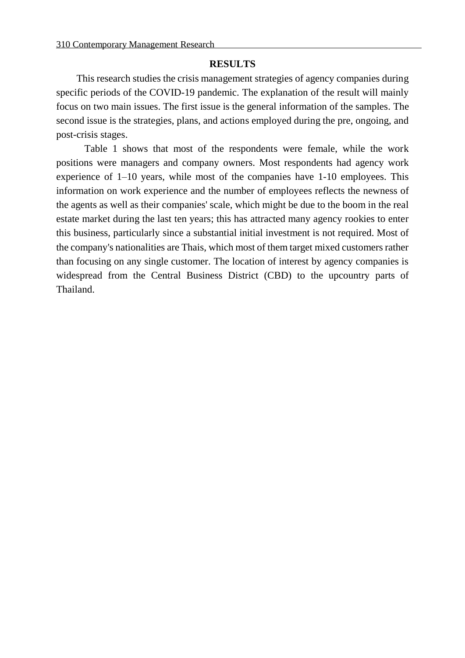#### **RESULTS**

This research studies the crisis management strategies of agency companies during specific periods of the COVID-19 pandemic. The explanation of the result will mainly focus on two main issues. The first issue is the general information of the samples. The second issue is the strategies, plans, and actions employed during the pre, ongoing, and post-crisis stages.

Table 1 shows that most of the respondents were female, while the work positions were managers and company owners. Most respondents had agency work experience of 1–10 years, while most of the companies have 1-10 employees. This information on work experience and the number of employees reflects the newness of the agents as well as their companies' scale, which might be due to the boom in the real estate market during the last ten years; this has attracted many agency rookies to enter this business, particularly since a substantial initial investment is not required. Most of the company's nationalities are Thais, which most of them target mixed customers rather than focusing on any single customer. The location of interest by agency companies is widespread from the Central Business District (CBD) to the upcountry parts of Thailand.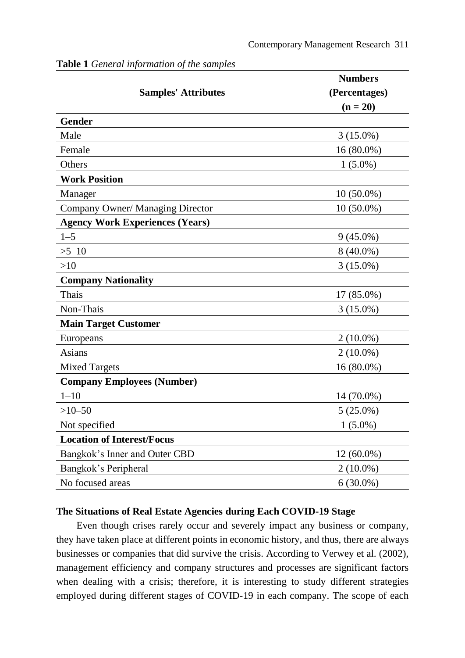|                                        | <b>Numbers</b> |
|----------------------------------------|----------------|
| <b>Samples' Attributes</b>             | (Percentages)  |
|                                        | $(n = 20)$     |
| <b>Gender</b>                          |                |
| Male                                   | $3(15.0\%)$    |
| Female                                 | 16 (80.0%)     |
| Others                                 | $1(5.0\%)$     |
| <b>Work Position</b>                   |                |
| Manager                                | $10(50.0\%)$   |
| Company Owner/ Managing Director       | $10(50.0\%)$   |
| <b>Agency Work Experiences (Years)</b> |                |
| $1 - 5$                                | $9(45.0\%)$    |
| $>5 - 10$                              | $8(40.0\%)$    |
| >10                                    | $3(15.0\%)$    |
| <b>Company Nationality</b>             |                |
| Thais                                  | $17(85.0\%)$   |
| Non-Thais                              | $3(15.0\%)$    |
| <b>Main Target Customer</b>            |                |
| Europeans                              | $2(10.0\%)$    |
| Asians                                 | $2(10.0\%)$    |
| <b>Mixed Targets</b>                   | $16(80.0\%)$   |
| <b>Company Employees (Number)</b>      |                |
| $1 - 10$                               | 14 (70.0%)     |
| $>10-50$                               | $5(25.0\%)$    |
| Not specified                          | $1(5.0\%)$     |
| <b>Location of Interest/Focus</b>      |                |
| Bangkok's Inner and Outer CBD          | $12(60.0\%)$   |
| Bangkok's Peripheral                   | $2(10.0\%)$    |
| No focused areas                       | $6(30.0\%)$    |
|                                        |                |

#### **Table 1** *General information of the samples*

## **The Situations of Real Estate Agencies during Each COVID-19 Stage**

Even though crises rarely occur and severely impact any business or company, they have taken place at different points in economic history, and thus, there are always businesses or companies that did survive the crisis. According to Verwey et al. (2002), management efficiency and company structures and processes are significant factors when dealing with a crisis; therefore, it is interesting to study different strategies employed during different stages of COVID-19 in each company. The scope of each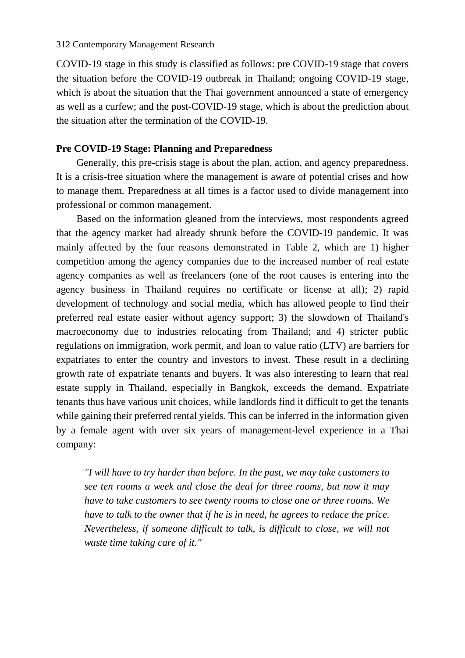COVID-19 stage in this study is classified as follows: pre COVID-19 stage that covers the situation before the COVID-19 outbreak in Thailand; ongoing COVID-19 stage, which is about the situation that the Thai government announced a state of emergency as well as a curfew; and the post-COVID-19 stage, which is about the prediction about the situation after the termination of the COVID-19.

#### **Pre COVID-19 Stage: Planning and Preparedness**

Generally, this pre-crisis stage is about the plan, action, and agency preparedness. It is a crisis-free situation where the management is aware of potential crises and how to manage them. Preparedness at all times is a factor used to divide management into professional or common management.

Based on the information gleaned from the interviews, most respondents agreed that the agency market had already shrunk before the COVID-19 pandemic. It was mainly affected by the four reasons demonstrated in Table 2, which are 1) higher competition among the agency companies due to the increased number of real estate agency companies as well as freelancers (one of the root causes is entering into the agency business in Thailand requires no certificate or license at all); 2) rapid development of technology and social media, which has allowed people to find their preferred real estate easier without agency support; 3) the slowdown of Thailand's macroeconomy due to industries relocating from Thailand; and 4) stricter public regulations on immigration, work permit, and loan to value ratio (LTV) are barriers for expatriates to enter the country and investors to invest. These result in a declining growth rate of expatriate tenants and buyers. It was also interesting to learn that real estate supply in Thailand, especially in Bangkok, exceeds the demand. Expatriate tenants thus have various unit choices, while landlords find it difficult to get the tenants while gaining their preferred rental yields. This can be inferred in the information given by a female agent with over six years of management-level experience in a Thai company:

*"I will have to try harder than before. In the past, we may take customers to see ten rooms a week and close the deal for three rooms, but now it may have to take customers to see twenty rooms to close one or three rooms. We have to talk to the owner that if he is in need, he agrees to reduce the price. Nevertheless, if someone difficult to talk, is difficult to close, we will not waste time taking care of it."*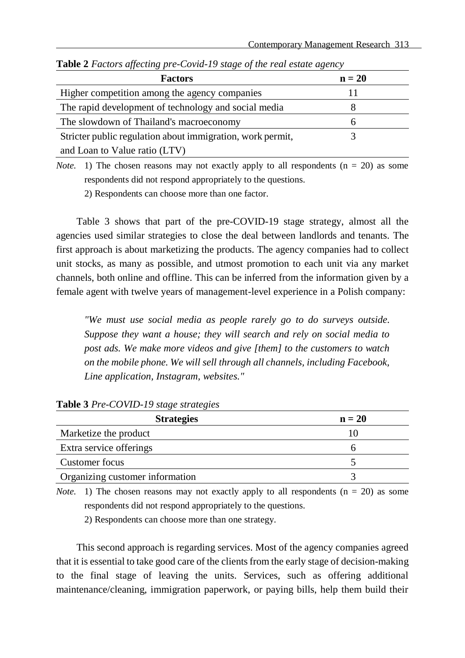| <b>Factors</b>                                             | $n = 20$ |
|------------------------------------------------------------|----------|
| Higher competition among the agency companies              |          |
| The rapid development of technology and social media       |          |
| The slowdown of Thailand's macroeconomy                    |          |
| Stricter public regulation about immigration, work permit, |          |
| and Loan to Value ratio (LTV)                              |          |

**Table 2** *Factors affecting pre-Covid-19 stage of the real estate agency*

*Note.* 1) The chosen reasons may not exactly apply to all respondents  $(n = 20)$  as some respondents did not respond appropriately to the questions.

2) Respondents can choose more than one factor.

Table 3 shows that part of the pre-COVID-19 stage strategy, almost all the agencies used similar strategies to close the deal between landlords and tenants. The first approach is about marketizing the products. The agency companies had to collect unit stocks, as many as possible, and utmost promotion to each unit via any market channels, both online and offline. This can be inferred from the information given by a female agent with twelve years of management-level experience in a Polish company:

*"We must use social media as people rarely go to do surveys outside. Suppose they want a house; they will search and rely on social media to post ads. We make more videos and give [them] to the customers to watch on the mobile phone. We will sell through all channels, including Facebook, Line application, Instagram, websites."*

| <b>Strategies</b>               | $n = 20$ |
|---------------------------------|----------|
| Marketize the product           |          |
| Extra service offerings         |          |
| Customer focus                  |          |
| Organizing customer information |          |

#### **Table 3** *Pre-COVID-19 stage strategies*

*Note.* 1) The chosen reasons may not exactly apply to all respondents  $(n = 20)$  as some respondents did not respond appropriately to the questions.

2) Respondents can choose more than one strategy.

This second approach is regarding services. Most of the agency companies agreed that it is essential to take good care of the clients from the early stage of decision-making to the final stage of leaving the units. Services, such as offering additional maintenance/cleaning, immigration paperwork, or paying bills, help them build their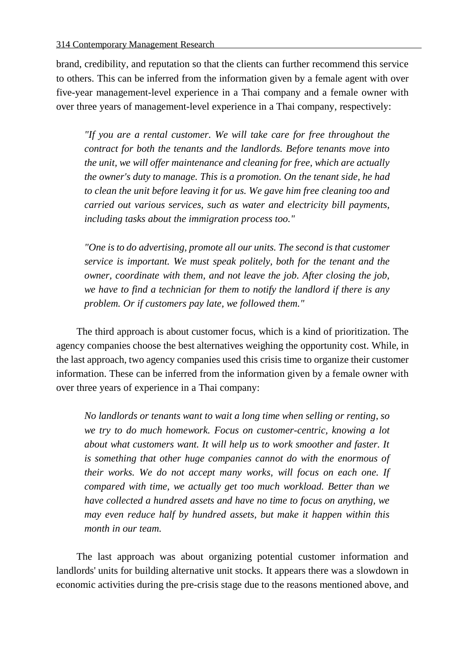brand, credibility, and reputation so that the clients can further recommend this service to others. This can be inferred from the information given by a female agent with over five-year management-level experience in a Thai company and a female owner with over three years of management-level experience in a Thai company, respectively:

*"If you are a rental customer. We will take care for free throughout the contract for both the tenants and the landlords. Before tenants move into the unit, we will offer maintenance and cleaning for free, which are actually the owner's duty to manage. This is a promotion. On the tenant side, he had to clean the unit before leaving it for us. We gave him free cleaning too and carried out various services, such as water and electricity bill payments, including tasks about the immigration process too."*

*"One is to do advertising, promote all our units. The second is that customer service is important. We must speak politely, both for the tenant and the owner, coordinate with them, and not leave the job. After closing the job, we have to find a technician for them to notify the landlord if there is any problem. Or if customers pay late, we followed them."*

The third approach is about customer focus, which is a kind of prioritization. The agency companies choose the best alternatives weighing the opportunity cost. While, in the last approach, two agency companies used this crisis time to organize their customer information. These can be inferred from the information given by a female owner with over three years of experience in a Thai company:

*No landlords or tenants want to wait a long time when selling or renting, so we try to do much homework. Focus on customer-centric, knowing a lot about what customers want. It will help us to work smoother and faster. It is something that other huge companies cannot do with the enormous of their works. We do not accept many works, will focus on each one. If compared with time, we actually get too much workload. Better than we have collected a hundred assets and have no time to focus on anything, we may even reduce half by hundred assets, but make it happen within this month in our team.*

The last approach was about organizing potential customer information and landlords' units for building alternative unit stocks. It appears there was a slowdown in economic activities during the pre-crisis stage due to the reasons mentioned above, and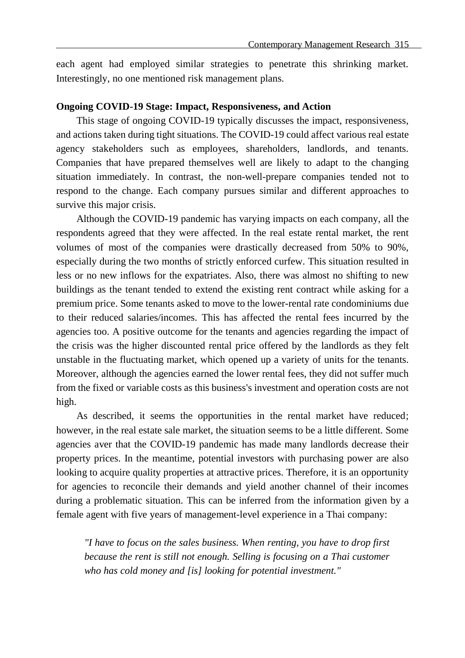each agent had employed similar strategies to penetrate this shrinking market. Interestingly, no one mentioned risk management plans.

#### **Ongoing COVID-19 Stage: Impact, Responsiveness, and Action**

This stage of ongoing COVID-19 typically discusses the impact, responsiveness, and actions taken during tight situations. The COVID-19 could affect various real estate agency stakeholders such as employees, shareholders, landlords, and tenants. Companies that have prepared themselves well are likely to adapt to the changing situation immediately. In contrast, the non-well-prepare companies tended not to respond to the change. Each company pursues similar and different approaches to survive this major crisis.

Although the COVID-19 pandemic has varying impacts on each company, all the respondents agreed that they were affected. In the real estate rental market, the rent volumes of most of the companies were drastically decreased from 50% to 90%, especially during the two months of strictly enforced curfew. This situation resulted in less or no new inflows for the expatriates. Also, there was almost no shifting to new buildings as the tenant tended to extend the existing rent contract while asking for a premium price. Some tenants asked to move to the lower-rental rate condominiums due to their reduced salaries/incomes. This has affected the rental fees incurred by the agencies too. A positive outcome for the tenants and agencies regarding the impact of the crisis was the higher discounted rental price offered by the landlords as they felt unstable in the fluctuating market, which opened up a variety of units for the tenants. Moreover, although the agencies earned the lower rental fees, they did not suffer much from the fixed or variable costs as this business's investment and operation costs are not high.

As described, it seems the opportunities in the rental market have reduced; however, in the real estate sale market, the situation seems to be a little different. Some agencies aver that the COVID-19 pandemic has made many landlords decrease their property prices. In the meantime, potential investors with purchasing power are also looking to acquire quality properties at attractive prices. Therefore, it is an opportunity for agencies to reconcile their demands and yield another channel of their incomes during a problematic situation. This can be inferred from the information given by a female agent with five years of management-level experience in a Thai company:

*"I have to focus on the sales business. When renting, you have to drop first because the rent is still not enough. Selling is focusing on a Thai customer who has cold money and [is] looking for potential investment."*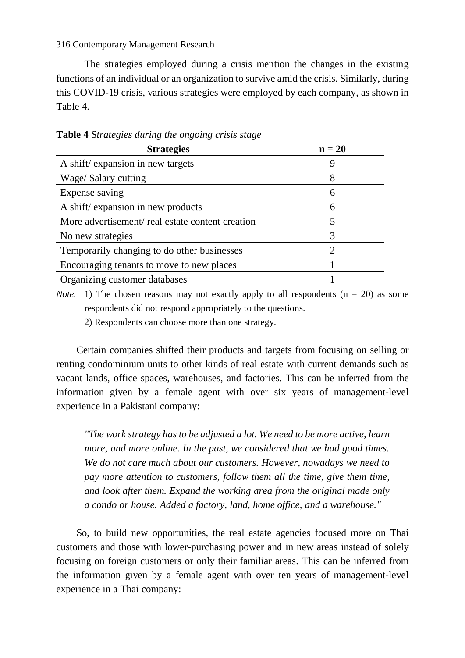316 Contemporary Management Research

The strategies employed during a crisis mention the changes in the existing functions of an individual or an organization to survive amid the crisis. Similarly, during this COVID-19 crisis, various strategies were employed by each company, as shown in Table 4.

| <b>Strategies</b>                               | $n = 20$      |
|-------------------------------------------------|---------------|
| A shift/ expansion in new targets               | 9             |
| Wage/ Salary cutting                            | 8             |
| Expense saving                                  | 6             |
| A shift/ expansion in new products              | 6             |
| More advertisement/real estate content creation | 5             |
| No new strategies                               | 3             |
| Temporarily changing to do other businesses     | $\mathcal{D}$ |
| Encouraging tenants to move to new places       |               |
| Organizing customer databases                   |               |

**Table 4** S*trategies during the ongoing crisis stage*

*Note.* 1) The chosen reasons may not exactly apply to all respondents  $(n = 20)$  as some respondents did not respond appropriately to the questions.

2) Respondents can choose more than one strategy.

Certain companies shifted their products and targets from focusing on selling or renting condominium units to other kinds of real estate with current demands such as vacant lands, office spaces, warehouses, and factories. This can be inferred from the information given by a female agent with over six years of management-level experience in a Pakistani company:

*"The work strategy has to be adjusted a lot. We need to be more active, learn more, and more online. In the past, we considered that we had good times. We do not care much about our customers. However, nowadays we need to pay more attention to customers, follow them all the time, give them time, and look after them. Expand the working area from the original made only a condo or house. Added a factory, land, home office, and a warehouse."*

So, to build new opportunities, the real estate agencies focused more on Thai customers and those with lower-purchasing power and in new areas instead of solely focusing on foreign customers or only their familiar areas. This can be inferred from the information given by a female agent with over ten years of management-level experience in a Thai company: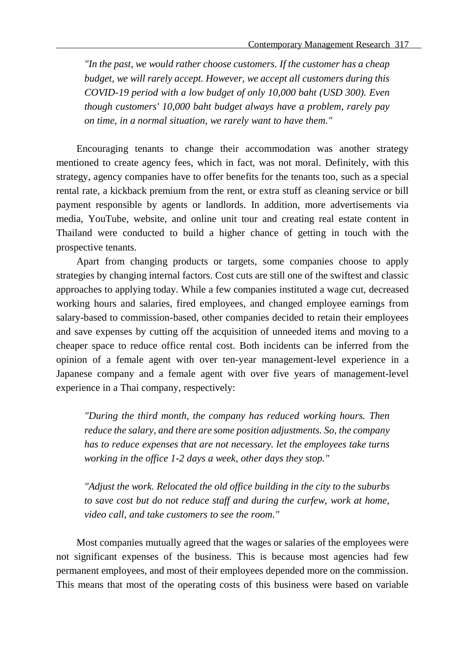*"In the past, we would rather choose customers. If the customer has a cheap budget, we will rarely accept. However, we accept all customers during this COVID-19 period with a low budget of only 10,000 baht (USD 300). Even though customers' 10,000 baht budget always have a problem, rarely pay on time, in a normal situation, we rarely want to have them."*

Encouraging tenants to change their accommodation was another strategy mentioned to create agency fees, which in fact, was not moral. Definitely, with this strategy, agency companies have to offer benefits for the tenants too, such as a special rental rate, a kickback premium from the rent, or extra stuff as cleaning service or bill payment responsible by agents or landlords. In addition, more advertisements via media, YouTube, website, and online unit tour and creating real estate content in Thailand were conducted to build a higher chance of getting in touch with the prospective tenants.

Apart from changing products or targets, some companies choose to apply strategies by changing internal factors. Cost cuts are still one of the swiftest and classic approaches to applying today. While a few companies instituted a wage cut, decreased working hours and salaries, fired employees, and changed employee earnings from salary-based to commission-based, other companies decided to retain their employees and save expenses by cutting off the acquisition of unneeded items and moving to a cheaper space to reduce office rental cost. Both incidents can be inferred from the opinion of a female agent with over ten-year management-level experience in a Japanese company and a female agent with over five years of management-level experience in a Thai company, respectively:

*"During the third month, the company has reduced working hours. Then reduce the salary, and there are some position adjustments. So, the company has to reduce expenses that are not necessary. let the employees take turns working in the office 1-2 days a week, other days they stop."*

*"Adjust the work. Relocated the old office building in the city to the suburbs to save cost but do not reduce staff and during the curfew, work at home, video call, and take customers to see the room."*

Most companies mutually agreed that the wages or salaries of the employees were not significant expenses of the business. This is because most agencies had few permanent employees, and most of their employees depended more on the commission. This means that most of the operating costs of this business were based on variable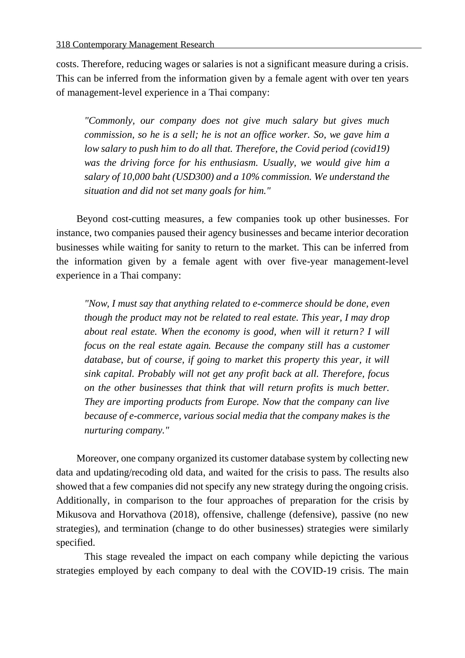costs. Therefore, reducing wages or salaries is not a significant measure during a crisis. This can be inferred from the information given by a female agent with over ten years of management-level experience in a Thai company:

*"Commonly, our company does not give much salary but gives much commission, so he is a sell; he is not an office worker. So, we gave him a low salary to push him to do all that. Therefore, the Covid period (covid19) was the driving force for his enthusiasm. Usually, we would give him a salary of 10,000 baht (USD300) and a 10% commission. We understand the situation and did not set many goals for him."*

Beyond cost-cutting measures, a few companies took up other businesses. For instance, two companies paused their agency businesses and became interior decoration businesses while waiting for sanity to return to the market. This can be inferred from the information given by a female agent with over five-year management-level experience in a Thai company:

*"Now, I must say that anything related to e-commerce should be done, even though the product may not be related to real estate. This year, I may drop about real estate. When the economy is good, when will it return? I will focus on the real estate again. Because the company still has a customer database, but of course, if going to market this property this year, it will sink capital. Probably will not get any profit back at all. Therefore, focus on the other businesses that think that will return profits is much better. They are importing products from Europe. Now that the company can live because of e-commerce, various social media that the company makes is the nurturing company."*

Moreover, one company organized its customer database system by collecting new data and updating/recoding old data, and waited for the crisis to pass. The results also showed that a few companies did not specify any new strategy during the ongoing crisis. Additionally, in comparison to the four approaches of preparation for the crisis by Mikusova and Horvathova (2018), offensive, challenge (defensive), passive (no new strategies), and termination (change to do other businesses) strategies were similarly specified.

This stage revealed the impact on each company while depicting the various strategies employed by each company to deal with the COVID-19 crisis. The main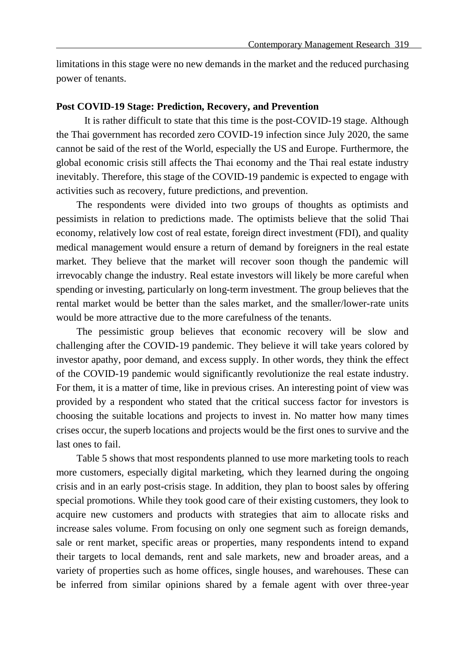limitations in this stage were no new demands in the market and the reduced purchasing power of tenants.

#### **Post COVID-19 Stage: Prediction, Recovery, and Prevention**

It is rather difficult to state that this time is the post-COVID-19 stage. Although the Thai government has recorded zero COVID-19 infection since July 2020, the same cannot be said of the rest of the World, especially the US and Europe. Furthermore, the global economic crisis still affects the Thai economy and the Thai real estate industry inevitably. Therefore, this stage of the COVID-19 pandemic is expected to engage with activities such as recovery, future predictions, and prevention.

The respondents were divided into two groups of thoughts as optimists and pessimists in relation to predictions made. The optimists believe that the solid Thai economy, relatively low cost of real estate, foreign direct investment (FDI), and quality medical management would ensure a return of demand by foreigners in the real estate market. They believe that the market will recover soon though the pandemic will irrevocably change the industry. Real estate investors will likely be more careful when spending or investing, particularly on long-term investment. The group believes that the rental market would be better than the sales market, and the smaller/lower-rate units would be more attractive due to the more carefulness of the tenants.

The pessimistic group believes that economic recovery will be slow and challenging after the COVID-19 pandemic. They believe it will take years colored by investor apathy, poor demand, and excess supply. In other words, they think the effect of the COVID-19 pandemic would significantly revolutionize the real estate industry. For them, it is a matter of time, like in previous crises. An interesting point of view was provided by a respondent who stated that the critical success factor for investors is choosing the suitable locations and projects to invest in. No matter how many times crises occur, the superb locations and projects would be the first ones to survive and the last ones to fail.

Table 5 shows that most respondents planned to use more marketing tools to reach more customers, especially digital marketing, which they learned during the ongoing crisis and in an early post-crisis stage. In addition, they plan to boost sales by offering special promotions. While they took good care of their existing customers, they look to acquire new customers and products with strategies that aim to allocate risks and increase sales volume. From focusing on only one segment such as foreign demands, sale or rent market, specific areas or properties, many respondents intend to expand their targets to local demands, rent and sale markets, new and broader areas, and a variety of properties such as home offices, single houses, and warehouses. These can be inferred from similar opinions shared by a female agent with over three-year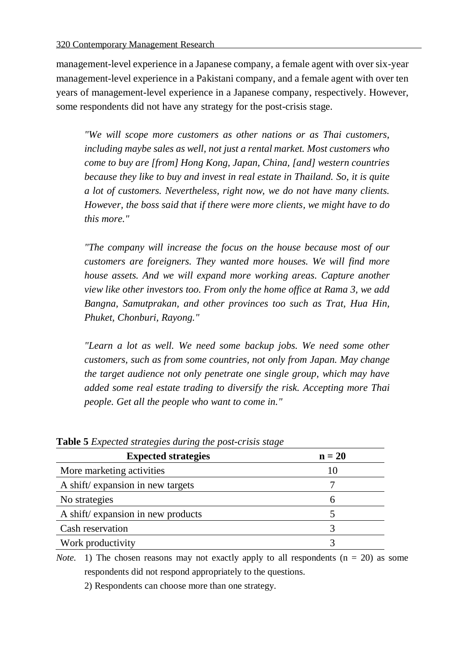management-level experience in a Japanese company, a female agent with over six-year management-level experience in a Pakistani company, and a female agent with over ten years of management-level experience in a Japanese company, respectively. However, some respondents did not have any strategy for the post-crisis stage.

*"We will scope more customers as other nations or as Thai customers, including maybe sales as well, not just a rental market. Most customers who come to buy are [from] Hong Kong, Japan, China, [and] western countries because they like to buy and invest in real estate in Thailand. So, it is quite a lot of customers. Nevertheless, right now, we do not have many clients. However, the boss said that if there were more clients, we might have to do this more."*

*"The company will increase the focus on the house because most of our customers are foreigners. They wanted more houses. We will find more house assets. And we will expand more working areas. Capture another view like other investors too. From only the home office at Rama 3, we add Bangna, Samutprakan, and other provinces too such as Trat, Hua Hin, Phuket, Chonburi, Rayong."*

*"Learn a lot as well. We need some backup jobs. We need some other customers, such as from some countries, not only from Japan. May change the target audience not only penetrate one single group, which may have added some real estate trading to diversify the risk. Accepting more Thai people. Get all the people who want to come in."*

| <b>Expected strategies</b>        | $n = 20$ |
|-----------------------------------|----------|
| More marketing activities         | 10       |
| A shift/expansion in new targets  |          |
| No strategies                     | 6        |
| A shift/expansion in new products |          |
| Cash reservation                  |          |
| Work productivity                 |          |

**Table 5** *Expected strategies during the post-crisis stage*

*Note.* 1) The chosen reasons may not exactly apply to all respondents  $(n = 20)$  as some respondents did not respond appropriately to the questions.

2) Respondents can choose more than one strategy.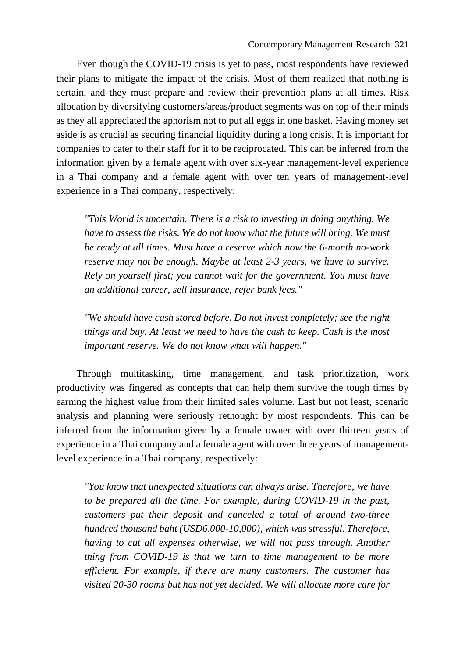Even though the COVID-19 crisis is yet to pass, most respondents have reviewed their plans to mitigate the impact of the crisis. Most of them realized that nothing is certain, and they must prepare and review their prevention plans at all times. Risk allocation by diversifying customers/areas/product segments was on top of their minds as they all appreciated the aphorism not to put all eggs in one basket. Having money set aside is as crucial as securing financial liquidity during a long crisis. It is important for companies to cater to their staff for it to be reciprocated. This can be inferred from the information given by a female agent with over six-year management-level experience in a Thai company and a female agent with over ten years of management-level experience in a Thai company, respectively:

*"This World is uncertain. There is a risk to investing in doing anything. We have to assess the risks. We do not know what the future will bring. We must be ready at all times. Must have a reserve which now the 6-month no-work reserve may not be enough. Maybe at least 2-3 years, we have to survive. Rely on yourself first; you cannot wait for the government. You must have an additional career, sell insurance, refer bank fees."*

*"We should have cash stored before. Do not invest completely; see the right things and buy. At least we need to have the cash to keep. Cash is the most important reserve. We do not know what will happen."*

Through multitasking, time management, and task prioritization, work productivity was fingered as concepts that can help them survive the tough times by earning the highest value from their limited sales volume. Last but not least, scenario analysis and planning were seriously rethought by most respondents. This can be inferred from the information given by a female owner with over thirteen years of experience in a Thai company and a female agent with over three years of managementlevel experience in a Thai company, respectively:

*"You know that unexpected situations can always arise. Therefore, we have to be prepared all the time. For example, during COVID-19 in the past, customers put their deposit and canceled a total of around two-three hundred thousand baht (USD6,000-10,000), which was stressful. Therefore, having to cut all expenses otherwise, we will not pass through. Another thing from COVID-19 is that we turn to time management to be more efficient. For example, if there are many customers. The customer has visited 20-30 rooms but has not yet decided. We will allocate more care for*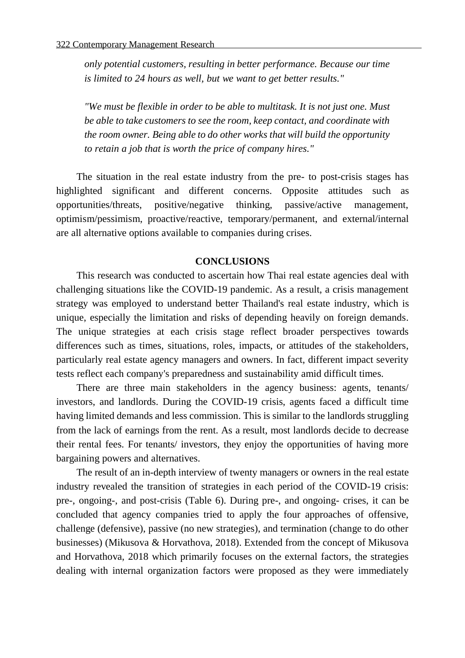*only potential customers, resulting in better performance. Because our time is limited to 24 hours as well, but we want to get better results."*

*"We must be flexible in order to be able to multitask. It is not just one. Must be able to take customers to see the room, keep contact, and coordinate with the room owner. Being able to do other works that will build the opportunity to retain a job that is worth the price of company hires."*

The situation in the real estate industry from the pre- to post-crisis stages has highlighted significant and different concerns. Opposite attitudes such as opportunities/threats, positive/negative thinking, passive/active management, optimism/pessimism, proactive/reactive, temporary/permanent, and external/internal are all alternative options available to companies during crises.

#### **CONCLUSIONS**

This research was conducted to ascertain how Thai real estate agencies deal with challenging situations like the COVID-19 pandemic. As a result, a crisis management strategy was employed to understand better Thailand's real estate industry, which is unique, especially the limitation and risks of depending heavily on foreign demands. The unique strategies at each crisis stage reflect broader perspectives towards differences such as times, situations, roles, impacts, or attitudes of the stakeholders, particularly real estate agency managers and owners. In fact, different impact severity tests reflect each company's preparedness and sustainability amid difficult times.

There are three main stakeholders in the agency business: agents, tenants/ investors, and landlords. During the COVID-19 crisis, agents faced a difficult time having limited demands and less commission. This is similar to the landlords struggling from the lack of earnings from the rent. As a result, most landlords decide to decrease their rental fees. For tenants/ investors, they enjoy the opportunities of having more bargaining powers and alternatives.

The result of an in-depth interview of twenty managers or owners in the real estate industry revealed the transition of strategies in each period of the COVID-19 crisis: pre-, ongoing-, and post-crisis (Table 6). During pre-, and ongoing- crises, it can be concluded that agency companies tried to apply the four approaches of offensive, challenge (defensive), passive (no new strategies), and termination (change to do other businesses) (Mikusova & Horvathova, 2018). Extended from the concept of Mikusova and Horvathova, 2018 which primarily focuses on the external factors, the strategies dealing with internal organization factors were proposed as they were immediately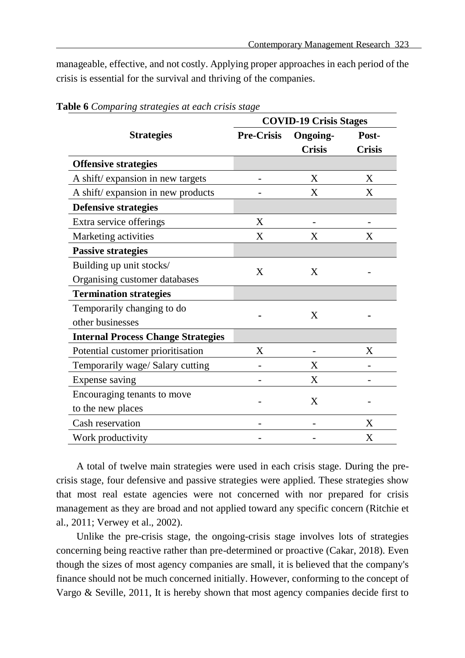manageable, effective, and not costly. Applying proper approaches in each period of the crisis is essential for the survival and thriving of the companies.

|                                           |                   | <b>COVID-19 Crisis Stages</b> |               |  |
|-------------------------------------------|-------------------|-------------------------------|---------------|--|
| <b>Strategies</b>                         | <b>Pre-Crisis</b> | <b>Ongoing-</b>               | Post-         |  |
|                                           |                   | <b>Crisis</b>                 | <b>Crisis</b> |  |
| <b>Offensive strategies</b>               |                   |                               |               |  |
| A shift/ expansion in new targets         |                   | X                             | X             |  |
| A shift/ expansion in new products        |                   | X                             | X             |  |
| <b>Defensive strategies</b>               |                   |                               |               |  |
| Extra service offerings                   | X                 |                               |               |  |
| Marketing activities                      | X                 | X                             | X             |  |
| <b>Passive strategies</b>                 |                   |                               |               |  |
| Building up unit stocks/                  | X                 | X                             |               |  |
| Organising customer databases             |                   |                               |               |  |
| <b>Termination strategies</b>             |                   |                               |               |  |
| Temporarily changing to do                |                   | X                             |               |  |
| other businesses                          |                   |                               |               |  |
| <b>Internal Process Change Strategies</b> |                   |                               |               |  |
| Potential customer prioritisation         | X                 |                               | X             |  |
| Temporarily wage/ Salary cutting          |                   | X                             |               |  |
| Expense saving                            |                   | X                             |               |  |
| Encouraging tenants to move               |                   | X                             |               |  |
| to the new places                         |                   |                               |               |  |
| Cash reservation                          |                   |                               | X             |  |
| Work productivity                         |                   |                               | X             |  |

**Table 6** *Comparing strategies at each crisis stage*

A total of twelve main strategies were used in each crisis stage. During the precrisis stage, four defensive and passive strategies were applied. These strategies show that most real estate agencies were not concerned with nor prepared for crisis management as they are broad and not applied toward any specific concern (Ritchie et al., 2011; Verwey et al., 2002).

Unlike the pre-crisis stage, the ongoing-crisis stage involves lots of strategies concerning being reactive rather than pre-determined or proactive (Cakar, 2018). Even though the sizes of most agency companies are small, it is believed that the company's finance should not be much concerned initially. However, conforming to the concept of Vargo & Seville, 2011, It is hereby shown that most agency companies decide first to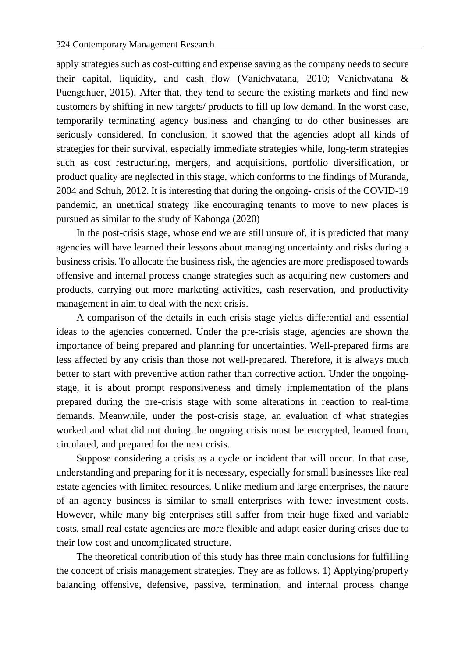apply strategies such as cost-cutting and expense saving as the company needs to secure their capital, liquidity, and cash flow (Vanichvatana, 2010; Vanichvatana & Puengchuer, 2015). After that, they tend to secure the existing markets and find new customers by shifting in new targets/ products to fill up low demand. In the worst case, temporarily terminating agency business and changing to do other businesses are seriously considered. In conclusion, it showed that the agencies adopt all kinds of strategies for their survival, especially immediate strategies while, long-term strategies such as cost restructuring, mergers, and acquisitions, portfolio diversification, or product quality are neglected in this stage, which conforms to the findings of Muranda, 2004 and Schuh, 2012. It is interesting that during the ongoing- crisis of the COVID-19 pandemic, an unethical strategy like encouraging tenants to move to new places is pursued as similar to the study of Kabonga (2020)

In the post-crisis stage, whose end we are still unsure of, it is predicted that many agencies will have learned their lessons about managing uncertainty and risks during a business crisis. To allocate the business risk, the agencies are more predisposed towards offensive and internal process change strategies such as acquiring new customers and products, carrying out more marketing activities, cash reservation, and productivity management in aim to deal with the next crisis.

A comparison of the details in each crisis stage yields differential and essential ideas to the agencies concerned. Under the pre-crisis stage, agencies are shown the importance of being prepared and planning for uncertainties. Well-prepared firms are less affected by any crisis than those not well-prepared. Therefore, it is always much better to start with preventive action rather than corrective action. Under the ongoingstage, it is about prompt responsiveness and timely implementation of the plans prepared during the pre-crisis stage with some alterations in reaction to real-time demands. Meanwhile, under the post-crisis stage, an evaluation of what strategies worked and what did not during the ongoing crisis must be encrypted, learned from, circulated, and prepared for the next crisis.

Suppose considering a crisis as a cycle or incident that will occur. In that case, understanding and preparing for it is necessary, especially for small businesses like real estate agencies with limited resources. Unlike medium and large enterprises, the nature of an agency business is similar to small enterprises with fewer investment costs. However, while many big enterprises still suffer from their huge fixed and variable costs, small real estate agencies are more flexible and adapt easier during crises due to their low cost and uncomplicated structure.

The theoretical contribution of this study has three main conclusions for fulfilling the concept of crisis management strategies. They are as follows. 1) Applying/properly balancing offensive, defensive, passive, termination, and internal process change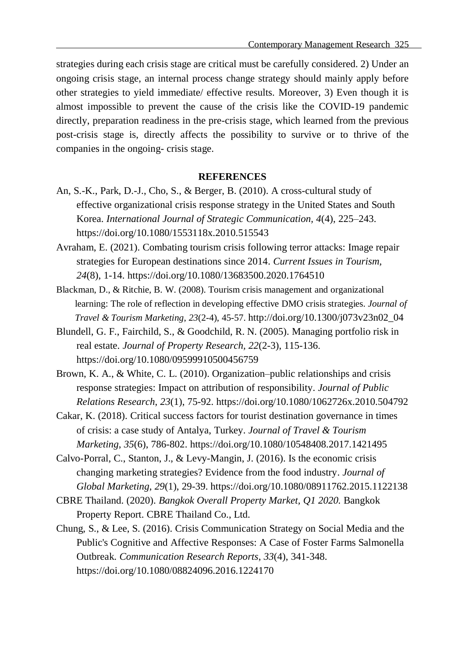strategies during each crisis stage are critical must be carefully considered. 2) Under an ongoing crisis stage, an internal process change strategy should mainly apply before other strategies to yield immediate/ effective results. Moreover, 3) Even though it is almost impossible to prevent the cause of the crisis like the COVID-19 pandemic directly, preparation readiness in the pre-crisis stage, which learned from the previous post-crisis stage is, directly affects the possibility to survive or to thrive of the companies in the ongoing- crisis stage.

#### **REFERENCES**

- An, S.-K., Park, D.-J., Cho, S., & Berger, B. (2010). A cross-cultural study of effective organizational crisis response strategy in the United States and South Korea. *International Journal of Strategic Communication, 4*(4), 225–243. https://doi.org/10.1080/1553118x.2010.515543
- Avraham, E. (2021). Combating tourism crisis following terror attacks: Image repair strategies for European destinations since 2014. *Current Issues in Tourism, 24*(8), 1-14. https://doi.org/10.1080/13683500.2020.1764510
- Blackman, D., & Ritchie, B. W. (2008). Tourism crisis management and organizational learning: The role of reflection in developing effective DMO crisis strategies. *Journal of Travel & Tourism Marketing*, *23*(2-4), 45-57. http://doi.org/10.1300/j073v23n02\_04
- Blundell, G. F., Fairchild, S., & Goodchild, R. N. (2005). Managing portfolio risk in real estate. *Journal of Property Research, 22*(2-3), 115-136. https://doi.org[/10.1080/09599910500456759](http://dx.doi.org/10.1080/09599910500456759)
- Brown, K. A., & White, C. L. (2010). Organization–public relationships and crisis response strategies: Impact on attribution of responsibility. *Journal of Public Relations Research*, *23*(1), 75-92. https://doi.org/10.1080/1062726x.2010.504792
- Cakar, K. (2018). Critical success factors for tourist destination governance in times of crisis: a case study of Antalya, Turkey. *Journal of Travel & Tourism Marketing*, *35*(6), 786-802. https://doi.org/10.1080/10548408.2017.1421495
- Calvo-Porral, C., Stanton, J., & Levy-Mangin, J. (2016). Is the economic crisis changing marketing strategies? Evidence from the food industry. *Journal of Global Marketing*, *29*(1), 29-39. https://doi.org/10.1080/08911762.2015.1122138
- CBRE Thailand. (2020). *Bangkok Overall Property Market, Q1 2020.* Bangkok Property Report. CBRE Thailand Co., Ltd.
- Chung, S., & Lee, S. (2016). Crisis Communication Strategy on Social Media and the Public's Cognitive and Affective Responses: A Case of Foster Farms Salmonella Outbreak. *Communication Research Reports*, *33*(4), 341-348. https://doi.org/10.1080/08824096.2016.1224170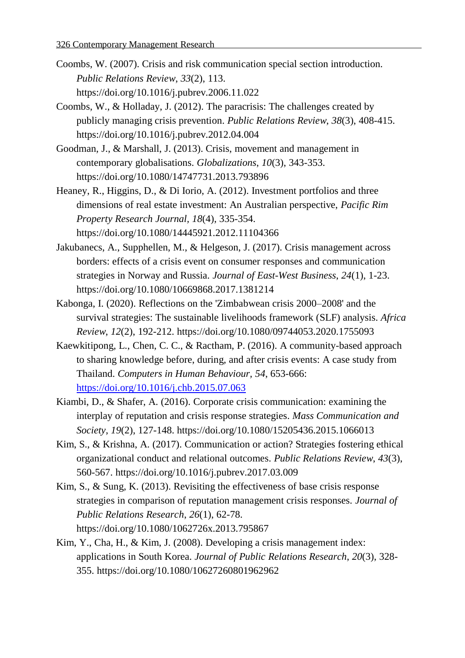- Coombs, W. (2007). Crisis and risk communication special section introduction. *Public Relations Review*, *33*(2), 113. https://doi.org/10.1016/j.pubrev.2006.11.022
- Coombs, W., & Holladay, J. (2012). The paracrisis: The challenges created by publicly managing crisis prevention. *Public Relations Review*, *38*(3), 408-415. https://doi.org/10.1016/j.pubrev.2012.04.004
- Goodman, J., & Marshall, J. (2013). Crisis, movement and management in contemporary globalisations. *Globalizations*, *10*(3), 343-353. https://doi.org/10.1080/14747731.2013.793896
- Heaney, R., Higgins, D., & Di Iorio, A. (2012). Investment portfolios and three dimensions of real estate investment: An Australian perspective, *Pacific Rim Property Research Journal, 18*(4), 335-354. https://doi.org/10.1080/14445921.2012.11104366
- Jakubanecs, A., Supphellen, M., & Helgeson, J. (2017). Crisis management across borders: effects of a crisis event on consumer responses and communication strategies in Norway and Russia. *Journal of East-West Business*, *24*(1), 1-23. https://doi.org/10.1080/10669868.2017.1381214
- Kabonga, I. (2020). Reflections on the 'Zimbabwean crisis 2000–2008' and the survival strategies: The sustainable livelihoods framework (SLF) analysis. *Africa Review*, *12*(2), 192-212. https://doi.org/10.1080/09744053.2020.1755093
- Kaewkitipong, L., Chen, C. C., & Ractham, P. (2016). A community-based approach to sharing knowledge before, during, and after crisis events: A case study from Thailand. *Computers in Human Behaviour, 54*, 653-666: <https://doi.org/10.1016/j.chb.2015.07.063>
- Kiambi, D., & Shafer, A. (2016). Corporate crisis communication: examining the interplay of reputation and crisis response strategies. *Mass Communication and Society*, *19*(2), 127-148. https://doi.org/10.1080/15205436.2015.1066013
- Kim, S., & Krishna, A. (2017). Communication or action? Strategies fostering ethical organizational conduct and relational outcomes. *Public Relations Review*, *43*(3), 560-567. https://doi.org/10.1016/j.pubrev.2017.03.009
- Kim, S., & Sung, K. (2013). Revisiting the effectiveness of base crisis response strategies in comparison of reputation management crisis responses. *Journal of Public Relations Research*, *26*(1), 62-78. https://doi.org/10.1080/1062726x.2013.795867
- Kim, Y., Cha, H., & Kim, J. (2008). Developing a crisis management index: applications in South Korea. *Journal of Public Relations Research*, *20*(3), 328- 355. https://doi.org/10.1080/10627260801962962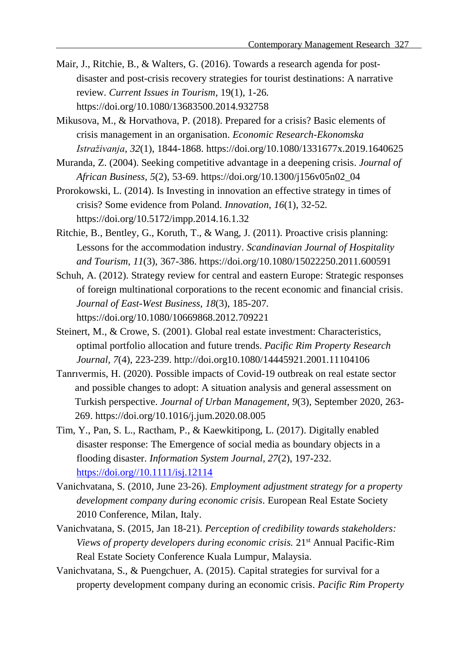- Mair, J., Ritchie, B., & Walters, G. (2016). Towards a research agenda for postdisaster and post-crisis recovery strategies for tourist destinations: A narrative review. *Current Issues in Tourism*, 19(1), 1-26. https://doi.org[/10.1080/13683500.2014.932758](https://doi.org/10.1080/13683500.2014.932758)
- Mikusova, M., & Horvathova, P. (2018). Prepared for a crisis? Basic elements of crisis management in an organisation. *Economic Research-Ekonomska Istraživanja*, *32*(1), 1844-1868. https://doi.org/10.1080/1331677x.2019.1640625
- Muranda, Z. (2004). Seeking competitive advantage in a deepening crisis. *Journal of African Business*, *5*(2), 53-69. https://doi.org/10.1300/j156v05n02\_04
- Prorokowski, L. (2014). Is Investing in innovation an effective strategy in times of crisis? Some evidence from Poland. *Innovation*, *16*(1), 32-52. https://doi.org/10.5172/impp.2014.16.1.32
- Ritchie, B., Bentley, G., Koruth, T., & Wang, J. (2011). Proactive crisis planning: Lessons for the accommodation industry. *Scandinavian Journal of Hospitality and Tourism*, *11*(3), 367-386. https://doi.org/10.1080/15022250.2011.600591
- Schuh, A. (2012). Strategy review for central and eastern Europe: Strategic responses of foreign multinational corporations to the recent economic and financial crisis. *Journal of East-West Business*, *18*(3), 185-207. https://doi.org/10.1080/10669868.2012.709221
- Steinert, M., & Crowe, S. (2001). Global real estate investment: Characteristics, optimal portfolio allocation and future trends. *Pacific Rim Property Research Journal, 7*(4), 223-239. http://doi.org10.1080/14445921.2001.11104106
- [Tanrıvermis](https://www.sciencedirect.com/science/article/pii/S2226585620302168#!), H. (2020). Possible impacts of Covid-19 outbreak on real estate sector and possible changes to adopt: A situation analysis and general assessment on Turkish perspective. *[Journal of Urban Management,](https://www.sciencedirect.com/science/journal/22265856) 9*(3), September 2020, 263- 269. https://doi.org/10.1016/j.jum.2020.08.005
- Tim, Y., Pan, S. L., Ractham, P., & Kaewkitipong, L. (2017). Digitally enabled disaster response: The Emergence of social media as boundary objects in a flooding disaster. *Information System Journal, 27*(2), 197-232. [https://doi.org//10.1111/isj.12114](https://doi.org/10.1111/isj.12114)
- Vanichvatana, S. (2010, June 23-26). *Employment adjustment strategy for a property development company during economic crisis*. European Real Estate Society 2010 Conference, Milan, Italy.
- Vanichvatana, S. (2015, Jan 18-21). *Perception of credibility towards stakeholders: Views of property developers during economic crisis.* 21st Annual Pacific-Rim Real Estate Society Conference Kuala Lumpur, Malaysia.
- Vanichvatana, S., & Puengchuer, A. (2015). Capital strategies for survival for a property development company during an economic crisis. *Pacific Rim Property*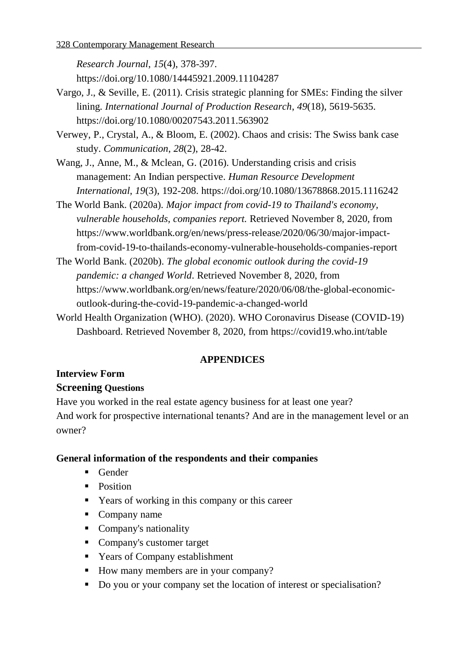*Research Journal*, *15*(4), 378-397.

https://doi.org/10.1080/14445921.2009.11104287

- Vargo, J., & Seville, E. (2011). Crisis strategic planning for SMEs: Finding the silver lining. *International Journal of Production Research*, *49*(18), 5619-5635. https://doi.org/10.1080/00207543.2011.563902
- Verwey, P., Crystal, A., & Bloom, E. (2002). Chaos and crisis: The Swiss bank case study. *Communication*, *28*(2), 28-42.
- Wang, J., Anne, M., & Mclean, G. (2016). Understanding crisis and crisis management: An Indian perspective. *Human Resource Development International*, *19*(3), 192-208. https://doi.org/10.1080/13678868.2015.1116242
- The World Bank. (2020a). *Major impact from covid-19 to Thailand's economy, vulnerable households, companies report.* Retrieved November 8, 2020, from https://www.worldbank.org/en/news/press-release/2020/06/30/major-impactfrom-covid-19-to-thailands-economy-vulnerable-households-companies-report
- The World Bank. (2020b). *The global economic outlook during the covid-19 pandemic: a changed World*. Retrieved November 8, 2020, from https://www.worldbank.org/en/news/feature/2020/06/08/the-global-economicoutlook-during-the-covid-19-pandemic-a-changed-world
- World Health Organization (WHO). (2020). WHO Coronavirus Disease (COVID-19) Dashboard. Retrieved November 8, 2020, from <https://covid19.who.int/table>

## **APPENDICES**

## **Interview Form Screening Questions**

Have you worked in the real estate agency business for at least one year? And work for prospective international tenants? And are in the management level or an owner?

## **General information of the respondents and their companies**

- Gender
- Position
- Years of working in this company or this career
- Company name
- Company's nationality
- Company's customer target
- Years of Company establishment
- How many members are in your company?
- Do you or your company set the location of interest or specialisation?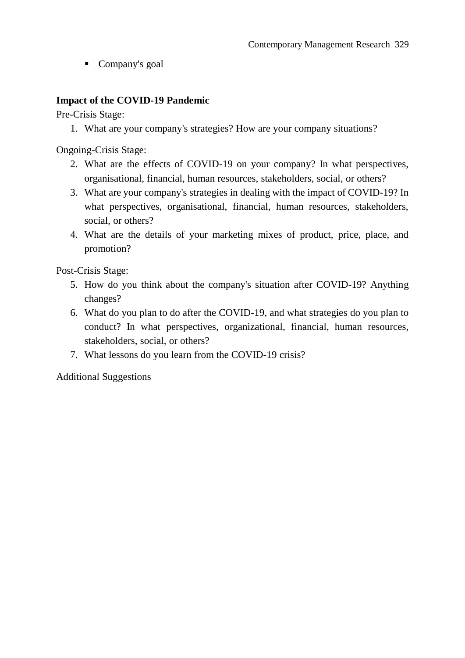■ Company's goal

## **Impact of the COVID-19 Pandemic**

Pre-Crisis Stage:

1. What are your company's strategies? How are your company situations?

Ongoing-Crisis Stage:

- 2. What are the effects of COVID-19 on your company? In what perspectives, organisational, financial, human resources, stakeholders, social, or others?
- 3. What are your company's strategies in dealing with the impact of COVID-19? In what perspectives, organisational, financial, human resources, stakeholders, social, or others?
- 4. What are the details of your marketing mixes of product, price, place, and promotion?

Post-Crisis Stage:

- 5. How do you think about the company's situation after COVID-19? Anything changes?
- 6. What do you plan to do after the COVID-19, and what strategies do you plan to conduct? In what perspectives, organizational, financial, human resources, stakeholders, social, or others?
- 7. What lessons do you learn from the COVID-19 crisis?

Additional Suggestions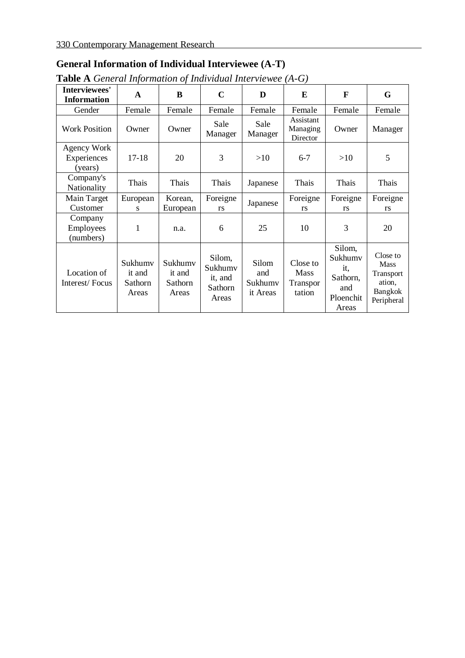## **General Information of Individual Interviewee (A-T)**

| <b>Table A</b> General Information of Individual Interviewee $(A-G)$ |  |  |
|----------------------------------------------------------------------|--|--|
|                                                                      |  |  |

|                                       | ັ                                     |                                       |                                                  |                                     |                                               |                                                                   |                                                                                |
|---------------------------------------|---------------------------------------|---------------------------------------|--------------------------------------------------|-------------------------------------|-----------------------------------------------|-------------------------------------------------------------------|--------------------------------------------------------------------------------|
| Interviewees'<br><b>Information</b>   | A                                     | B                                     | $\mathbf C$                                      | D                                   | E                                             | F                                                                 | G                                                                              |
| Gender                                | Female                                | Female                                | Female                                           | Female                              | Female                                        | Female                                                            | Female                                                                         |
| <b>Work Position</b>                  | Owner                                 | Owner                                 | Sale<br>Manager                                  | Sale<br>Manager                     | Assistant<br>Managing<br>Director             | Owner                                                             | Manager                                                                        |
| Agency Work<br>Experiences<br>(years) | $17 - 18$                             | 20                                    | 3                                                | >10                                 | $6 - 7$                                       | >10                                                               | 5                                                                              |
| Company's<br>Nationality              | Thais                                 | Thais                                 | Thais                                            | Japanese                            | Thais                                         | Thais                                                             | Thais                                                                          |
| Main Target<br>Customer               | European<br>S                         | Korean,<br>European                   | Foreigne<br>rs                                   | Japanese                            | Foreigne<br>rs                                | Foreigne<br>rs                                                    | Foreigne<br>rs                                                                 |
| Company<br>Employees<br>(numbers)     | $\mathbf{1}$                          | n.a.                                  | 6                                                | 25                                  | 10                                            | 3                                                                 | 20                                                                             |
| Location of<br>Interest/Focus         | Sukhumv<br>it and<br>Sathorn<br>Areas | Sukhumv<br>it and<br>Sathorn<br>Areas | Silom,<br>Sukhumv<br>it, and<br>Sathorn<br>Areas | Silom<br>and<br>Sukhumv<br>it Areas | Close to<br><b>Mass</b><br>Transpor<br>tation | Silom,<br>Sukhumv<br>it.<br>Sathorn,<br>and<br>Ploenchit<br>Areas | Close to<br><b>Mass</b><br>Transport<br>ation.<br><b>Bangkok</b><br>Peripheral |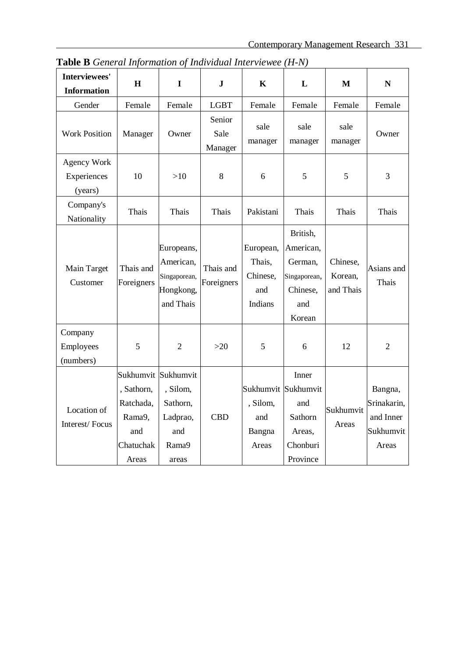| H                                                                  | $\mathbf I$                                                       | $\mathbf{J}$              | $\mathbf K$                                       | L                                                                             | M                                | N                                                         |
|--------------------------------------------------------------------|-------------------------------------------------------------------|---------------------------|---------------------------------------------------|-------------------------------------------------------------------------------|----------------------------------|-----------------------------------------------------------|
| Female                                                             | Female                                                            | <b>LGBT</b>               | Female                                            | Female                                                                        | Female                           | Female                                                    |
| Manager                                                            | Owner                                                             | Senior<br>Sale<br>Manager | sale<br>manager                                   | sale<br>manager                                                               | sale<br>manager                  | Owner                                                     |
|                                                                    |                                                                   |                           |                                                   |                                                                               |                                  |                                                           |
| 10                                                                 | $>10$                                                             | 8                         | 6                                                 | 5                                                                             | 5                                | 3                                                         |
|                                                                    |                                                                   |                           |                                                   |                                                                               |                                  |                                                           |
| Thais                                                              | Thais                                                             | Thais                     | Pakistani                                         | Thais                                                                         | Thais                            | Thais                                                     |
| Thais and<br>Foreigners                                            | Europeans,<br>American,<br>Singaporean,<br>Hongkong,<br>and Thais | Thais and<br>Foreigners   | European,<br>Thais,<br>Chinese,<br>and<br>Indians | British,<br>American,<br>German,<br>Singaporean,<br>Chinese,<br>and<br>Korean | Chinese,<br>Korean.<br>and Thais | Asians and<br>Thais                                       |
| 5                                                                  | $\overline{2}$                                                    | $>20$                     | 5                                                 | 6                                                                             | 12                               | $\overline{2}$                                            |
| Sukhumvit<br>, Sathorn,<br>Ratchada,<br>Rama9,<br>and<br>Chatuchak | Sukhumvit<br>, Silom,<br>Sathorn,<br>Ladprao,<br>and<br>Rama9     | <b>CBD</b>                | , Silom,<br>and<br>Bangna<br>Areas                | Inner<br>and<br>Sathorn<br>Areas,<br>Chonburi                                 | Sukhumvit<br>Areas               | Bangna,<br>Srinakarin,<br>and Inner<br>Sukhumvit<br>Areas |
|                                                                    | Areas                                                             | areas                     |                                                   |                                                                               | Sukhumvit Sukhumvit<br>Province  |                                                           |

**Table B** *General Information of Individual Interviewee (H-N)*